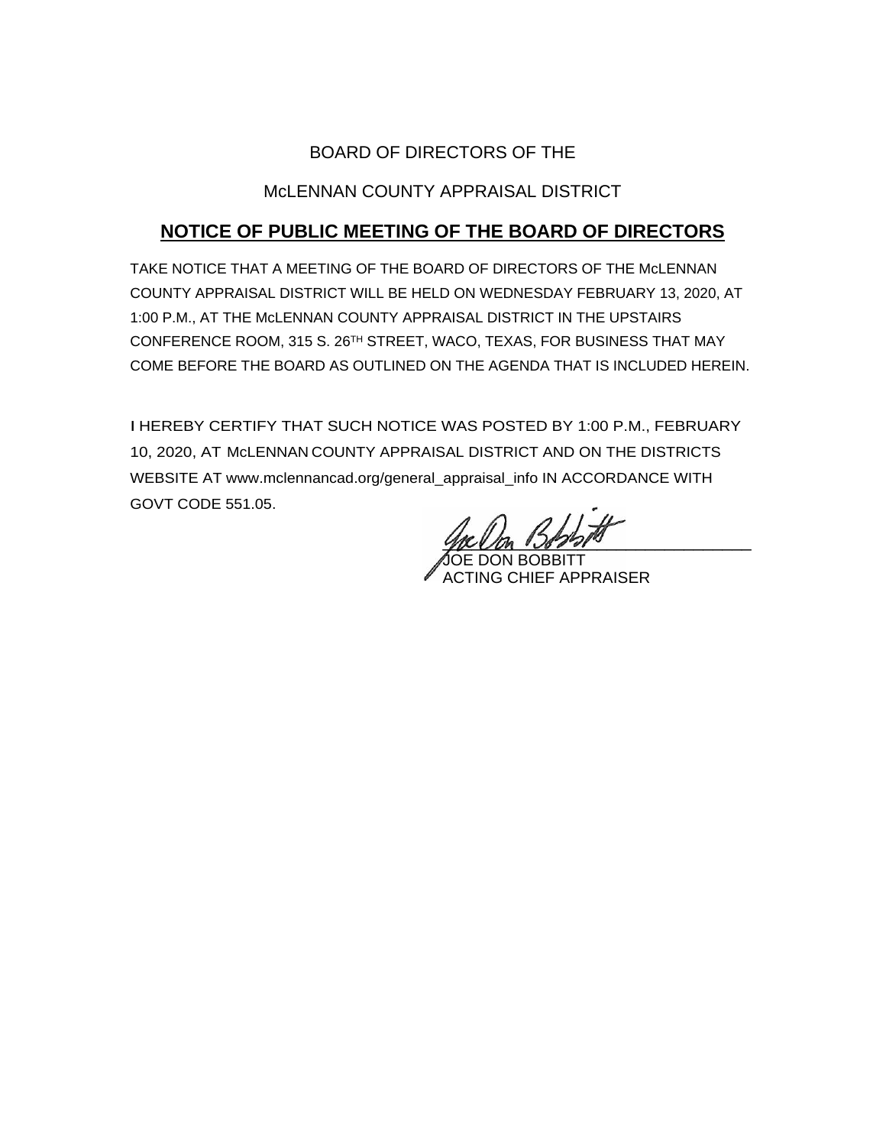# BOARD OF DIRECTORS OF THE

# McLENNAN COUNTY APPRAISAL DISTRICT

# **NOTICE OF PUBLIC MEETING OF THE BOARD OF DIRECTORS**

TAKE NOTICE THAT A MEETING OF THE BOARD OF DIRECTORS OF THE McLENNAN COUNTY APPRAISAL DISTRICT WILL BE HELD ON WEDNESDAY FEBRUARY 13, 2020, AT 1:00 P.M., AT THE McLENNAN COUNTY APPRAISAL DISTRICT IN THE UPSTAIRS CONFERENCE ROOM, 315 S. 26TH STREET, WACO, TEXAS, FOR BUSINESS THAT MAY COME BEFORE THE BOARD AS OUTLINED ON THE AGENDA THAT IS INCLUDED HEREIN.

I HEREBY CERTIFY THAT SUCH NOTICE WAS POSTED BY 1:00 P.M., FEBRUARY 10, 2020, AT McLENNAN COUNTY APPRAISAL DISTRICT AND ON THE DISTRICTS WEBSITE AT www.mclennancad.org/general\_appraisal\_info IN ACCORDANCE WITH GOVT CODE 551.05.

 $\frac{1}{2}$ 

**JOE DON BOBBITT** ACTING CHIEF APPRAISER